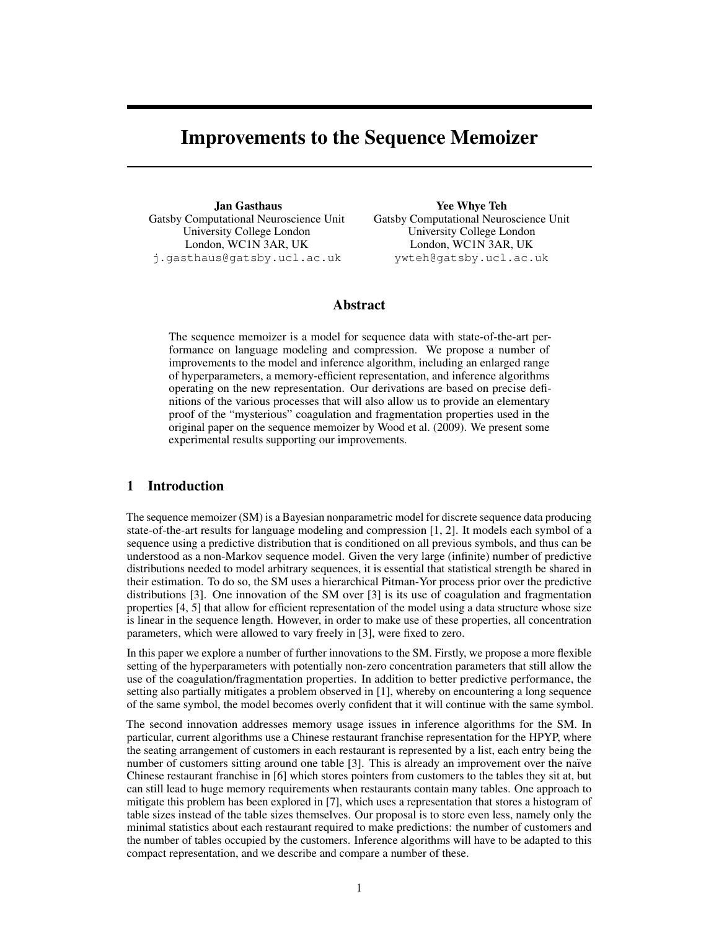# Improvements to the Sequence Memoizer

Jan Gasthaus Gatsby Computational Neuroscience Unit University College London London, WC1N 3AR, UK j.gasthaus@gatsby.ucl.ac.uk

Yee Whye Teh Gatsby Computational Neuroscience Unit University College London London, WC1N 3AR, UK ywteh@gatsby.ucl.ac.uk

# Abstract

The sequence memoizer is a model for sequence data with state-of-the-art performance on language modeling and compression. We propose a number of improvements to the model and inference algorithm, including an enlarged range of hyperparameters, a memory-efficient representation, and inference algorithms operating on the new representation. Our derivations are based on precise definitions of the various processes that will also allow us to provide an elementary proof of the "mysterious" coagulation and fragmentation properties used in the original paper on the sequence memoizer by Wood et al. (2009). We present some experimental results supporting our improvements.

# 1 Introduction

The sequence memoizer (SM) is a Bayesian nonparametric model for discrete sequence data producing state-of-the-art results for language modeling and compression [1, 2]. It models each symbol of a sequence using a predictive distribution that is conditioned on all previous symbols, and thus can be understood as a non-Markov sequence model. Given the very large (infinite) number of predictive distributions needed to model arbitrary sequences, it is essential that statistical strength be shared in their estimation. To do so, the SM uses a hierarchical Pitman-Yor process prior over the predictive distributions [3]. One innovation of the SM over [3] is its use of coagulation and fragmentation properties [4, 5] that allow for efficient representation of the model using a data structure whose size is linear in the sequence length. However, in order to make use of these properties, all concentration parameters, which were allowed to vary freely in [3], were fixed to zero.

In this paper we explore a number of further innovations to the SM. Firstly, we propose a more flexible setting of the hyperparameters with potentially non-zero concentration parameters that still allow the use of the coagulation/fragmentation properties. In addition to better predictive performance, the setting also partially mitigates a problem observed in [1], whereby on encountering a long sequence of the same symbol, the model becomes overly confident that it will continue with the same symbol.

The second innovation addresses memory usage issues in inference algorithms for the SM. In particular, current algorithms use a Chinese restaurant franchise representation for the HPYP, where the seating arrangement of customers in each restaurant is represented by a list, each entry being the number of customers sitting around one table [3]. This is already an improvement over the naïve Chinese restaurant franchise in [6] which stores pointers from customers to the tables they sit at, but can still lead to huge memory requirements when restaurants contain many tables. One approach to mitigate this problem has been explored in [7], which uses a representation that stores a histogram of table sizes instead of the table sizes themselves. Our proposal is to store even less, namely only the minimal statistics about each restaurant required to make predictions: the number of customers and the number of tables occupied by the customers. Inference algorithms will have to be adapted to this compact representation, and we describe and compare a number of these.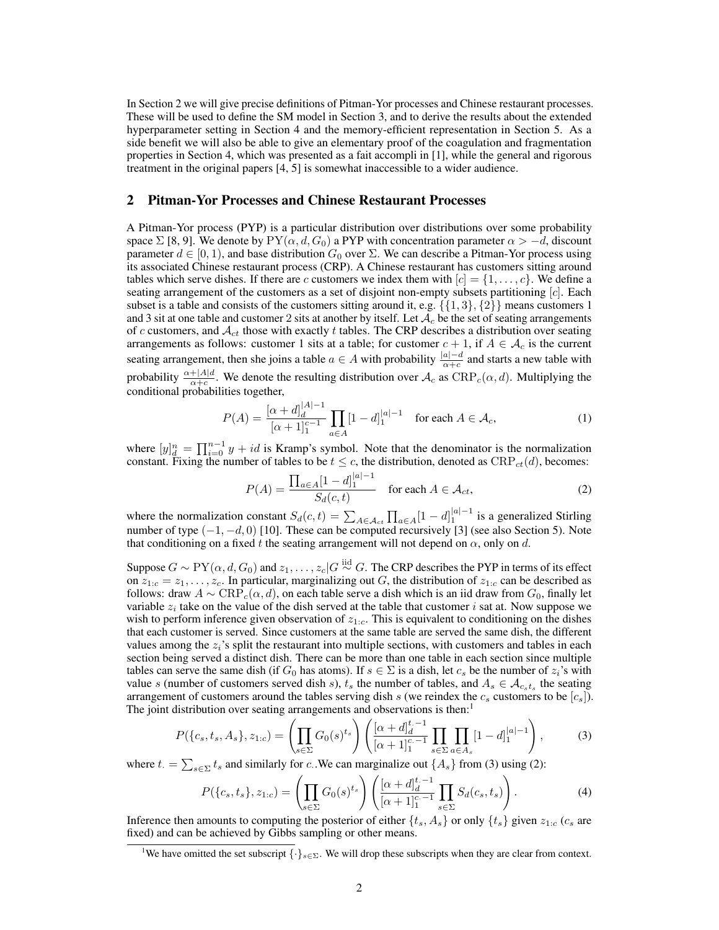In Section 2 we will give precise definitions of Pitman-Yor processes and Chinese restaurant processes. These will be used to define the SM model in Section 3, and to derive the results about the extended hyperparameter setting in Section 4 and the memory-efficient representation in Section 5. As a side benefit we will also be able to give an elementary proof of the coagulation and fragmentation properties in Section 4, which was presented as a fait accompli in [1], while the general and rigorous treatment in the original papers [4, 5] is somewhat inaccessible to a wider audience.

# 2 Pitman-Yor Processes and Chinese Restaurant Processes

A Pitman-Yor process (PYP) is a particular distribution over distributions over some probability space  $\Sigma$  [8, 9]. We denote by  $PY(\alpha, d, G_0)$  a PYP with concentration parameter  $\alpha > -d$ , discount parameter  $d \in [0, 1)$ , and base distribution  $G_0$  over  $\Sigma$ . We can describe a Pitman-Yor process using its associated Chinese restaurant process (CRP). A Chinese restaurant has customers sitting around tables which serve dishes. If there are c customers we index them with  $[c] = \{1, \ldots, c\}$ . We define a seating arrangement of the customers as a set of disjoint non-empty subsets partitioning  $[c]$ . Each subset is a table and consists of the customers sitting around it, e.g.  $\{\{1, 3\}, \{2\}\}$  means customers 1 and 3 sit at one table and customer 2 sits at another by itself. Let  $A_c$  be the set of seating arrangements of c customers, and  $\mathcal{A}_{ct}$  those with exactly t tables. The CRP describes a distribution over seating arrangements as follows: customer 1 sits at a table; for customer  $c + 1$ , if  $A \in \mathcal{A}_c$  is the current seating arrangement, then she joins a table  $a \in A$  with probability  $\frac{|a|-d}{\alpha+c}$  and starts a new table with probability  $\frac{\alpha+|A|d}{\alpha+c}$ . We denote the resulting distribution over  $\mathcal{A}_c$  as  $CRP_c(\alpha, d)$ . Multiplying the conditional probabilities together,

$$
P(A) = \frac{[\alpha + d]_d^{|A|-1}}{[\alpha + 1]_1^{c-1}} \prod_{a \in A} [1 - d]_1^{|a|-1} \quad \text{for each } A \in \mathcal{A}_c,
$$
 (1)

where  $[y]_d^n = \prod_{i=0}^{n-1} y + id$  is Kramp's symbol. Note that the denominator is the normalization constant. Fixing the number of tables to be  $t \leq c$ , the distribution, denoted as  $CRP_{ct}(d)$ , becomes:

$$
P(A) = \frac{\prod_{a \in A} [1 - d]_1^{|a| - 1}}{S_d(c, t)} \quad \text{for each } A \in \mathcal{A}_{ct},
$$
 (2)

where the normalization constant  $S_d(c, t) = \sum_{A \in \mathcal{A}_{ct}} \prod_{a \in A} [1 - d]_1^{|a|-1}$  is a generalized Stirling number of type  $(-1, -d, 0)$  [10]. These can be computed recursively [3] (see also Section 5). Note that conditioning on a fixed t the seating arrangement will not depend on  $\alpha$ , only on d.

Suppose  $G \sim PY(\alpha, d, G_0)$  and  $z_1, \ldots, z_c | G \stackrel{\text{iid}}{\sim} G$ . The CRP describes the PYP in terms of its effect on  $z_{1:c} = z_1, \ldots, z_c$ . In particular, marginalizing out G, the distribution of  $z_{1:c}$  can be described as follows: draw  $A \sim \text{CRP}_c(\alpha, d)$ , on each table serve a dish which is an iid draw from  $G_0$ , finally let variable  $z_i$  take on the value of the dish served at the table that customer i sat at. Now suppose we wish to perform inference given observation of  $z_{1,c}$ . This is equivalent to conditioning on the dishes that each customer is served. Since customers at the same table are served the same dish, the different values among the  $z_i$ 's split the restaurant into multiple sections, with customers and tables in each section being served a distinct dish. There can be more than one table in each section since multiple tables can serve the same dish (if  $G_0$  has atoms). If  $s \in \Sigma$  is a dish, let  $c_s$  be the number of  $z_i$ 's with value s (number of customers served dish s),  $t_s$  the number of tables, and  $A_s \in \mathcal{A}_{c_s t_s}$  the seating arrangement of customers around the tables serving dish s (we reindex the  $c_s$  customers to be  $[c_s]$ ). The joint distribution over seating arrangements and observations is then:<sup>1</sup>

$$
P(\{c_s, t_s, A_s\}, z_{1:c}) = \left(\prod_{s \in \Sigma} G_0(s)^{t_s}\right) \left(\frac{[\alpha + d]_d^{t-1}}{[\alpha + 1]_1^{c-1}} \prod_{s \in \Sigma} \prod_{a \in A_s} [1 - d]_1^{|a|-1}\right),\tag{3}
$$

where  $t = \sum_{s \in \Sigma} t_s$  and similarly for c. We can marginalize out  $\{A_s\}$  from (3) using (2):

$$
P(\{c_s, t_s\}, z_{1:c}) = \left(\prod_{s \in \Sigma} G_0(s)^{t_s}\right) \left(\frac{[\alpha + d]_d^{t-1}}{[\alpha + 1]_1^{c-1}} \prod_{s \in \Sigma} S_d(c_s, t_s)\right).
$$
\n(4)

Inference then amounts to computing the posterior of either  $\{t_s, A_s\}$  or only  $\{t_s\}$  given  $z_{1:c}$  ( $c_s$  are fixed) and can be achieved by Gibbs sampling or other means.

<sup>&</sup>lt;sup>1</sup>We have omitted the set subscript  $\{\cdot\}_{s\in\Sigma}$ . We will drop these subscripts when they are clear from context.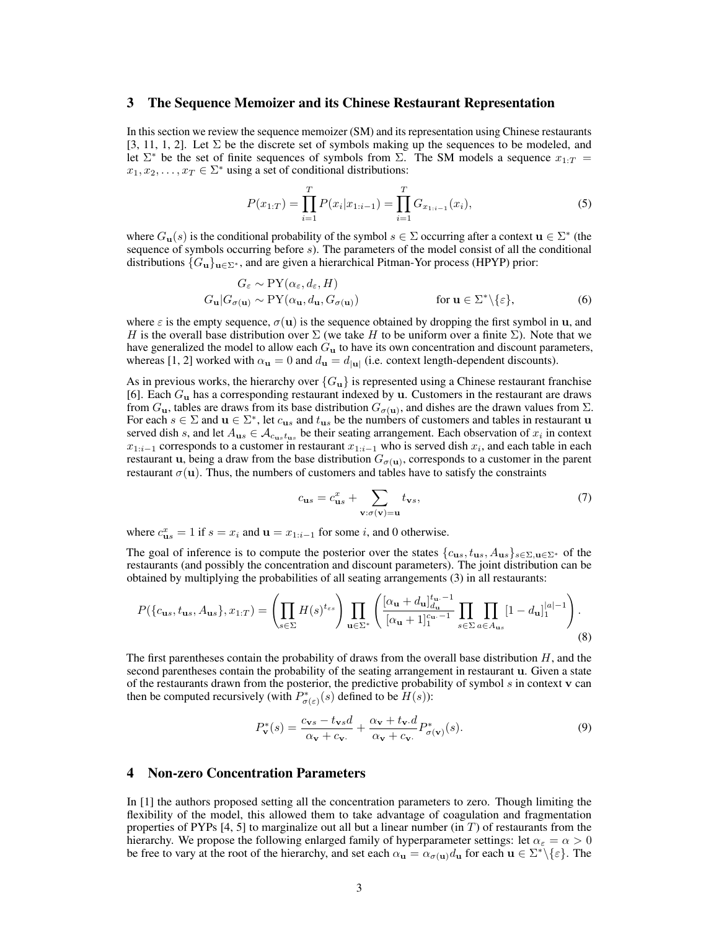## 3 The Sequence Memoizer and its Chinese Restaurant Representation

In this section we review the sequence memoizer (SM) and its representation using Chinese restaurants [3, 11, 1, 2]. Let  $\Sigma$  be the discrete set of symbols making up the sequences to be modeled, and let  $\Sigma^*$  be the set of finite sequences of symbols from  $\Sigma$ . The SM models a sequence  $x_{1:T}$  $x_1, x_2, \ldots, x_T \in \Sigma^*$  using a set of conditional distributions:

$$
P(x_{1:T}) = \prod_{i=1}^{T} P(x_i | x_{1:i-1}) = \prod_{i=1}^{T} G_{x_{1:i-1}}(x_i),
$$
\n(5)

where  $G_{\mathbf{u}}(s)$  is the conditional probability of the symbol  $s \in \Sigma$  occurring after a context  $\mathbf{u} \in \Sigma^*$  (the sequence of symbols occurring before  $s$ ). The parameters of the model consist of all the conditional distributions  ${G_{\bf u}}_{\bf u\in\Sigma^*}$ , and are given a hierarchical Pitman-Yor process (HPYP) prior:

$$
G_{\varepsilon} \sim \text{PY}(\alpha_{\varepsilon}, d_{\varepsilon}, H)
$$
  
\n
$$
G_{\mathbf{u}}|G_{\sigma(\mathbf{u})} \sim \text{PY}(\alpha_{\mathbf{u}}, d_{\mathbf{u}}, G_{\sigma(\mathbf{u})})
$$
 for  $\mathbf{u} \in \Sigma^* \setminus \{\varepsilon\},$  (6)

where  $\varepsilon$  is the empty sequence,  $\sigma(\mathbf{u})$  is the sequence obtained by dropping the first symbol in **u**, and H is the overall base distribution over  $\Sigma$  (we take H to be uniform over a finite  $\Sigma$ ). Note that we have generalized the model to allow each  $G_u$  to have its own concentration and discount parameters, whereas [1, 2] worked with  $\alpha_{\bf u} = 0$  and  $d_{\bf u} = d_{|\bf u|}$  (i.e. context length-dependent discounts).

As in previous works, the hierarchy over  ${G_{\bf u}}$  is represented using a Chinese restaurant franchise [6]. Each  $G_{\bf u}$  has a corresponding restaurant indexed by  ${\bf u}$ . Customers in the restaurant are draws from  $G_{\bf u}$ , tables are draws from its base distribution  $G_{\sigma({\bf u})}$ , and dishes are the drawn values from  $\Sigma$ . For each  $s \in \Sigma$  and  $u \in \Sigma^*$ , let  $c_{us}$  and  $t_{us}$  be the numbers of customers and tables in restaurant u served dish s, and let  $A_{us} \in A_{c_{us}t_{us}}$  be their seating arrangement. Each observation of  $x_i$  in context  $x_{1:i-1}$  corresponds to a customer in restaurant  $x_{1:i-1}$  who is served dish  $x_i$ , and each table in each restaurant **u**, being a draw from the base distribution  $G_{\sigma(\mathbf{u})}$ , corresponds to a customer in the parent restaurant  $\sigma(\mathbf{u})$ . Thus, the numbers of customers and tables have to satisfy the constraints

$$
c_{\mathbf{u}s} = c_{\mathbf{u}s}^x + \sum_{\mathbf{v}:\sigma(\mathbf{v})=\mathbf{u}} t_{\mathbf{v}s},\tag{7}
$$

where  $c_{\mathbf{u}s}^x = 1$  if  $s = x_i$  and  $\mathbf{u} = x_{1:i-1}$  for some i, and 0 otherwise.

The goal of inference is to compute the posterior over the states  ${c_{us}, t_{us}, A_{us}}_{s \in \Sigma, u \in \Sigma^*}$  of the restaurants (and possibly the concentration and discount parameters). The joint distribution can be obtained by multiplying the probabilities of all seating arrangements (3) in all restaurants:

$$
P(\lbrace c_{\mathbf{u}s}, t_{\mathbf{u}s}, A_{\mathbf{u}s} \rbrace, x_{1:T}) = \left( \prod_{s \in \Sigma} H(s)^{t_{\varepsilon s}} \right) \prod_{\mathbf{u} \in \Sigma^*} \left( \frac{[\alpha_{\mathbf{u}} + d_{\mathbf{u}}]_{d_{\mathbf{u}}}^{t_{\mathbf{u}} - 1}}{[\alpha_{\mathbf{u}} + 1]_1^{c_{\mathbf{u}} - 1}} \prod_{s \in \Sigma} \prod_{a \in A_{\mathbf{u}s}} [1 - d_{\mathbf{u}}]_1^{|a| - 1} \right).
$$
\n(8)

The first parentheses contain the probability of draws from the overall base distribution  $H$ , and the second parentheses contain the probability of the seating arrangement in restaurant u. Given a state of the restaurants drawn from the posterior, the predictive probability of symbol  $s$  in context  $\bf{v}$  can then be computed recursively (with  $P_{\sigma(\varepsilon)}^*(s)$  defined to be  $H(s)$ ):

$$
P_{\mathbf{v}}^*(s) = \frac{c_{\mathbf{v}s} - t_{\mathbf{v}s}d}{\alpha_{\mathbf{v}} + c_{\mathbf{v}}} + \frac{\alpha_{\mathbf{v}} + t_{\mathbf{v}}d}{\alpha_{\mathbf{v}} + c_{\mathbf{v}}}\n P_{\sigma(\mathbf{v})}^*(s).
$$
\n(9)

### 4 Non-zero Concentration Parameters

In [1] the authors proposed setting all the concentration parameters to zero. Though limiting the flexibility of the model, this allowed them to take advantage of coagulation and fragmentation properties of PYPs  $[4, 5]$  to marginalize out all but a linear number (in T) of restaurants from the hierarchy. We propose the following enlarged family of hyperparameter settings: let  $\alpha_{\epsilon} = \alpha > 0$ be free to vary at the root of the hierarchy, and set each  $\alpha_{\bf u} = \alpha_{\sigma({\bf u})} d_{\bf u}$  for each  ${\bf u} \in \Sigma^* \setminus {\{\varepsilon\}}$ . The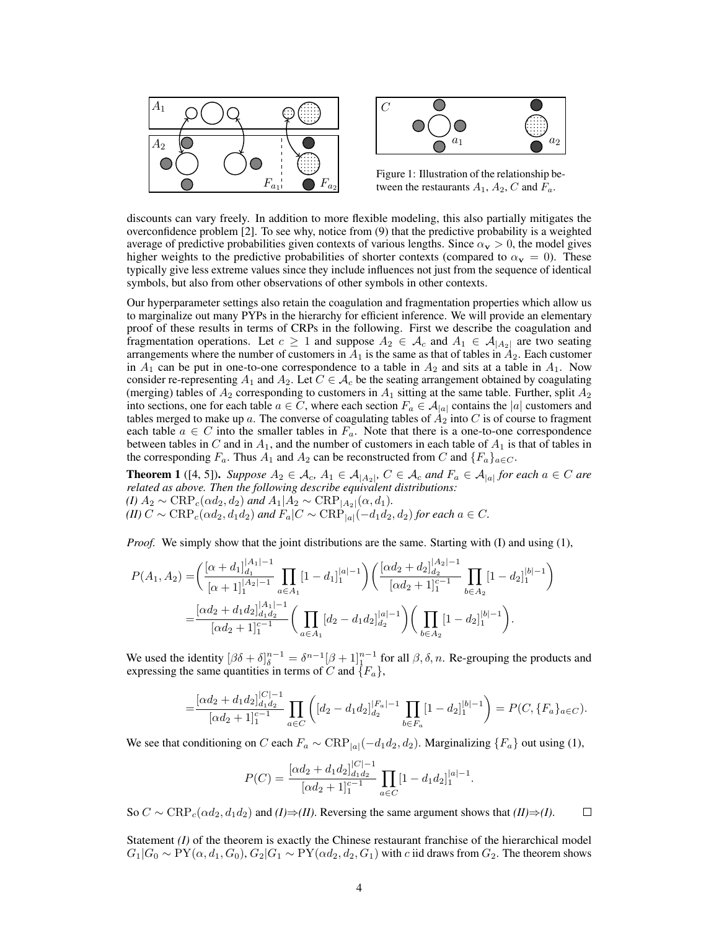



Figure 1: Illustration of the relationship between the restaurants  $A_1$ ,  $A_2$ , C and  $F_a$ .

discounts can vary freely. In addition to more flexible modeling, this also partially mitigates the overconfidence problem [2]. To see why, notice from (9) that the predictive probability is a weighted average of predictive probabilities given contexts of various lengths. Since  $\alpha_{\bf v} > 0$ , the model gives higher weights to the predictive probabilities of shorter contexts (compared to  $\alpha_{\bf v} = 0$ ). These typically give less extreme values since they include influences not just from the sequence of identical symbols, but also from other observations of other symbols in other contexts.

Our hyperparameter settings also retain the coagulation and fragmentation properties which allow us to marginalize out many PYPs in the hierarchy for efficient inference. We will provide an elementary proof of these results in terms of CRPs in the following. First we describe the coagulation and fragmentation operations. Let  $c \ge 1$  and suppose  $A_2 \in \mathcal{A}_c$  and  $A_1 \in \mathcal{A}_{|A_2|}$  are two seating arrangements where the number of customers in  $A_1$  is the same as that of tables in  $A_2$ . Each customer in  $A_1$  can be put in one-to-one correspondence to a table in  $A_2$  and sits at a table in  $A_1$ . Now consider re-representing  $A_1$  and  $A_2$ . Let  $C \in \mathcal{A}_c$  be the seating arrangement obtained by coagulating (merging) tables of  $A_2$  corresponding to customers in  $A_1$  sitting at the same table. Further, split  $A_2$ into sections, one for each table  $a \in C$ , where each section  $F_a \in A_{|a|}$  contains the  $|a|$  customers and tables merged to make up a. The converse of coagulating tables of  $A_2$  into C is of course to fragment each table  $a \in C$  into the smaller tables in  $F_a$ . Note that there is a one-to-one correspondence between tables in C and in  $A_1$ , and the number of customers in each table of  $A_1$  is that of tables in the corresponding  $F_a$ . Thus  $A_1$  and  $A_2$  can be reconstructed from C and  $\{F_a\}_{a \in C}$ .

**Theorem 1** ([4, 5]). Suppose  $A_2 \in \mathcal{A}_c$ ,  $A_1 \in \mathcal{A}_{|A_2|}$ ,  $C \in \mathcal{A}_c$  and  $F_a \in \mathcal{A}_{|a|}$  for each  $a \in C$  are *related as above. Then the following describe equivalent distributions: (I)*  $A_2$  ∼ CRP<sub>c</sub>(αd<sub>2</sub>, d<sub>2</sub>) and  $A_1|A_2$  ∼ CRP<sub>[A<sub>2</sub>](α, d<sub>1</sub>).</sub>  $(H)$  C ∼ CRP<sub>c</sub>( $\alpha d_2$ , $d_1 d_2$ ) and  $F_a$ |C ∼ CRP<sub>|a|</sub>( $-d_1 d_2$ , $d_2$ ) *for each*  $a \in C$ *.* 

*Proof.* We simply show that the joint distributions are the same. Starting with (I) and using (1),

$$
P(A_1, A_2) = \left( \frac{[\alpha + d_1]_{d_1}^{|A_1| - 1}}{[\alpha + 1]_1^{|A_2| - 1}} \prod_{a \in A_1} [1 - d_1]_1^{|a| - 1} \right) \left( \frac{[\alpha d_2 + d_2]_{d_2}^{|A_2| - 1}}{[\alpha d_2 + 1]_1^{c - 1}} \prod_{b \in A_2} [1 - d_2]_1^{|b| - 1} \right)
$$
  
= 
$$
\frac{[\alpha d_2 + d_1 d_2]_{d_1 d_2}^{|A_1| - 1}}{[\alpha d_2 + 1]_1^{c - 1}} \left( \prod_{a \in A_1} [d_2 - d_1 d_2]_{d_2}^{|a| - 1} \right) \left( \prod_{b \in A_2} [1 - d_2]_1^{|b| - 1} \right).
$$

We used the identity  $\left[\beta\delta + \delta\right]_{\delta}^{n-1} = \delta^{n-1}\left[\beta+1\right]_{1}^{n-1}$  for all  $\beta, \delta, n$ . Re-grouping the products and expressing the same quantities in terms of C and  $\{F_a\}$ ,

$$
=\frac{[\alpha d_2+d_1 d_2]_{d_1 d_2}^{|C|-1}}{[\alpha d_2+1]_1^{c-1}}\prod_{a\in C}\left([d_2-d_1 d_2]_{d_2}^{|F_a|-1}\prod_{b\in F_a}[1-d_2]_1^{|b|-1}\right)=P(C,\{F_a\}_{a\in C}).
$$

We see that conditioning on C each  $F_a \sim \text{CRP}_{|a|}(-d_1d_2, d_2)$ . Marginalizing  $\{F_a\}$  out using (1),

$$
P(C) = \frac{[\alpha d_2 + d_1 d_2]_{d_1 d_2}^{|C|-1}}{[\alpha d_2 + 1]_1^{c-1}} \prod_{a \in C} [1 - d_1 d_2]_1^{|a|-1}.
$$

So  $C \sim \text{CRP}_c(\alpha d_2, d_1 d_2)$  and  $(I) \Rightarrow (II)$ . Reversing the same argument shows that  $(II) \Rightarrow (I)$ .  $\Box$ 

Statement *(I)* of the theorem is exactly the Chinese restaurant franchise of the hierarchical model  $G_1|G_0 \sim \text{PY}(\alpha, d_1, G_0), G_2|G_1 \sim \text{PY}(\alpha d_2, d_2, G_1)$  with c iid draws from  $G_2$ . The theorem shows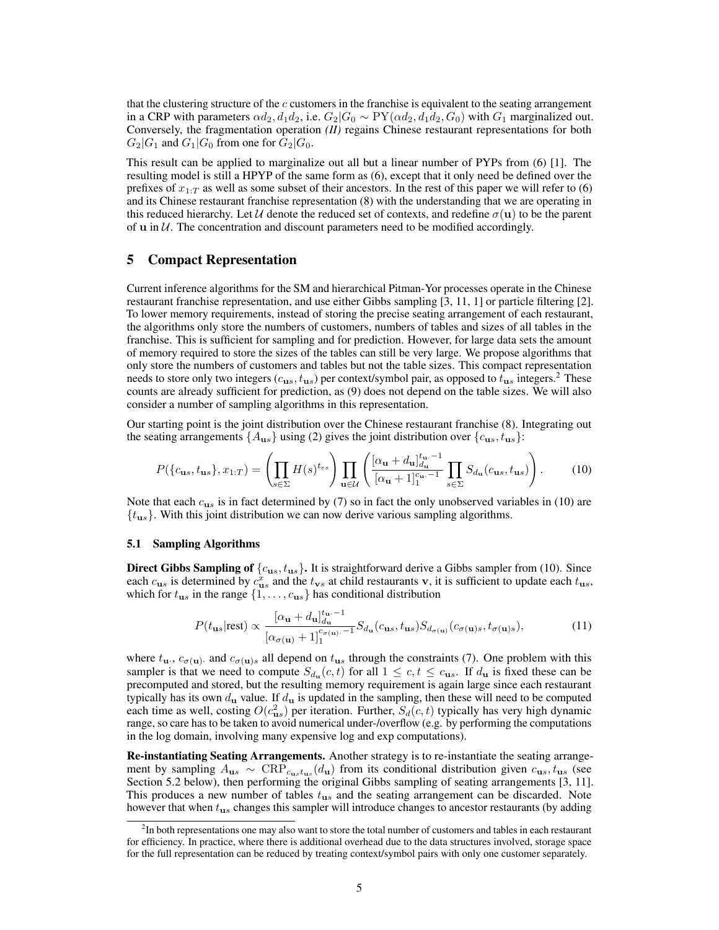that the clustering structure of the  $c$  customers in the franchise is equivalent to the seating arrangement in a CRP with parameters  $\alpha d_2, d_1 d_2$ , i.e.  $G_2|G_0 \sim PY(\alpha d_2, d_1 d_2, G_0)$  with  $G_1$  marginalized out. Conversely, the fragmentation operation *(II)* regains Chinese restaurant representations for both  $G_2|G_1$  and  $G_1|G_0$  from one for  $G_2|G_0$ .

This result can be applied to marginalize out all but a linear number of PYPs from (6) [1]. The resulting model is still a HPYP of the same form as (6), except that it only need be defined over the prefixes of  $x_{1:T}$  as well as some subset of their ancestors. In the rest of this paper we will refer to (6) and its Chinese restaurant franchise representation (8) with the understanding that we are operating in this reduced hierarchy. Let U denote the reduced set of contexts, and redefine  $\sigma(\mathbf{u})$  to be the parent of  $u$  in  $U$ . The concentration and discount parameters need to be modified accordingly.

## 5 Compact Representation

Current inference algorithms for the SM and hierarchical Pitman-Yor processes operate in the Chinese restaurant franchise representation, and use either Gibbs sampling [3, 11, 1] or particle filtering [2]. To lower memory requirements, instead of storing the precise seating arrangement of each restaurant, the algorithms only store the numbers of customers, numbers of tables and sizes of all tables in the franchise. This is sufficient for sampling and for prediction. However, for large data sets the amount of memory required to store the sizes of the tables can still be very large. We propose algorithms that only store the numbers of customers and tables but not the table sizes. This compact representation needs to store only two integers ( $c_{us}$ ,  $t_{us}$ ) per context/symbol pair, as opposed to  $t_{us}$  integers.<sup>2</sup> These counts are already sufficient for prediction, as (9) does not depend on the table sizes. We will also consider a number of sampling algorithms in this representation.

Our starting point is the joint distribution over the Chinese restaurant franchise (8). Integrating out the seating arrangements  $\{A_{us}\}\$ using (2) gives the joint distribution over  $\{c_{us}, t_{us}\}$ :

$$
P(\lbrace c_{\mathbf{u}s}, t_{\mathbf{u}s}\rbrace, x_{1:T}) = \left(\prod_{s \in \Sigma} H(s)^{t_{\varepsilon s}}\right) \prod_{\mathbf{u} \in \mathcal{U}} \left(\frac{[\alpha_{\mathbf{u}} + d_{\mathbf{u}}]_{d_{\mathbf{u}}}^{t_{\mathbf{u}} - 1}}{[\alpha_{\mathbf{u}} + 1]_{1}^{c_{\mathbf{u}} - 1}} \prod_{s \in \Sigma} S_{d_{\mathbf{u}}}(c_{\mathbf{u}s}, t_{\mathbf{u}s})\right).
$$
 (10)

Note that each  $c_{us}$  is in fact determined by (7) so in fact the only unobserved variables in (10) are  ${t_{us}}$ . With this joint distribution we can now derive various sampling algorithms.

#### 5.1 Sampling Algorithms

**Direct Gibbs Sampling of**  $\{c_{us}, t_{us}\}$ . It is straightforward derive a Gibbs sampler from (10). Since each  $c_{us}$  is determined by  $c_{us}^x$  and the  $t_{vs}$  at child restaurants v, it is sufficient to update each  $t_{us}$ , which for  $t_{us}$  in the range  $\{1, \ldots, c_{us}\}$  has conditional distribution

$$
P(t_{us}|\text{rest}) \propto \frac{[\alpha_{\mathbf{u}} + d_{\mathbf{u}}]_{d_{\mathbf{u}}}^{t_{\mathbf{u}} - 1}}{[\alpha_{\sigma(\mathbf{u})} + 1]_{1}^{c_{\sigma(\mathbf{u})} - 1}} S_{d_{\mathbf{u}}}(c_{us}, t_{us}) S_{d_{\sigma(\mathbf{u})}}(c_{\sigma(\mathbf{u})s}, t_{\sigma(\mathbf{u})s}),
$$
(11)

where  $t_{\bf{u}}$ ,  $c_{\sigma(\bf{u})}$  and  $c_{\sigma(\bf{u})s}$  all depend on  $t_{\bf{u}s}$  through the constraints (7). One problem with this sampler is that we need to compute  $S_{d_u}(c, t)$  for all  $1 \leq c, t \leq c_{us}$ . If  $d_u$  is fixed these can be precomputed and stored, but the resulting memory requirement is again large since each restaurant typically has its own  $d_{\bf u}$  value. If  $d_{\bf u}$  is updated in the sampling, then these will need to be computed each time as well, costing  $O(c_{us}^2)$  per iteration. Further,  $S_d(c, t)$  typically has very high dynamic range, so care has to be taken to avoid numerical under-/overflow (e.g. by performing the computations in the log domain, involving many expensive log and exp computations).

Re-instantiating Seating Arrangements. Another strategy is to re-instantiate the seating arrangement by sampling  $A_{us} \sim \text{CRP}_{c_{us}t_{us}}(d_{u})$  from its conditional distribution given  $c_{us}$ ,  $t_{us}$  (see Section 5.2 below), then performing the original Gibbs sampling of seating arrangements [3, 11]. This produces a new number of tables  $t_{us}$  and the seating arrangement can be discarded. Note however that when  $t_{us}$  changes this sampler will introduce changes to ancestor restaurants (by adding

<sup>&</sup>lt;sup>2</sup>In both representations one may also want to store the total number of customers and tables in each restaurant for efficiency. In practice, where there is additional overhead due to the data structures involved, storage space for the full representation can be reduced by treating context/symbol pairs with only one customer separately.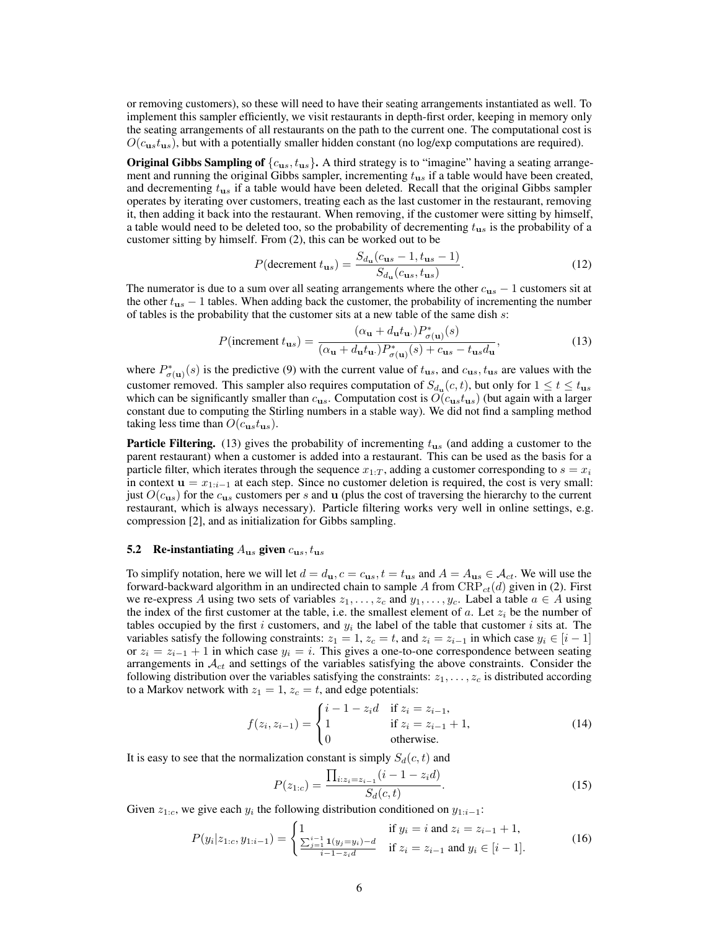or removing customers), so these will need to have their seating arrangements instantiated as well. To implement this sampler efficiently, we visit restaurants in depth-first order, keeping in memory only the seating arrangements of all restaurants on the path to the current one. The computational cost is  $O(c_{us}t_{us})$ , but with a potentially smaller hidden constant (no log/exp computations are required).

**Original Gibbs Sampling of**  $\{c_{us}, t_{us}\}\$ . A third strategy is to "imagine" having a seating arrangement and running the original Gibbs sampler, incrementing  $t_{\text{us}}$  if a table would have been created, and decrementing  $t_{us}$  if a table would have been deleted. Recall that the original Gibbs sampler operates by iterating over customers, treating each as the last customer in the restaurant, removing it, then adding it back into the restaurant. When removing, if the customer were sitting by himself, a table would need to be deleted too, so the probability of decrementing  $t_{us}$  is the probability of a customer sitting by himself. From (2), this can be worked out to be

$$
P(\text{decrement } t_{us}) = \frac{S_{d_u}(c_{us} - 1, t_{us} - 1)}{S_{d_u}(c_{us}, t_{us})}.
$$
\n(12)

The numerator is due to a sum over all seating arrangements where the other  $c_{us} - 1$  customers sit at the other  $t_{us}$  − 1 tables. When adding back the customer, the probability of incrementing the number of tables is the probability that the customer sits at a new table of the same dish  $s$ :

$$
P(\text{increment } t_{us}) = \frac{(\alpha_{\mathbf{u}} + d_{\mathbf{u}} t_{\mathbf{u}}) P_{\sigma(\mathbf{u})}^{*}(s)}{(\alpha_{\mathbf{u}} + d_{\mathbf{u}} t_{\mathbf{u}}) P_{\sigma(\mathbf{u})}^{*}(s) + c_{us} - t_{us} d_{\mathbf{u}}},\tag{13}
$$

where  $P_{\sigma(u)}^*(s)$  is the predictive (9) with the current value of  $t_{us}$ , and  $c_{us}$ ,  $t_{us}$  are values with the customer removed. This sampler also requires computation of  $S_{d_u}(c, t)$ , but only for  $1 \le t \le t_{us}$ which can be significantly smaller than  $c_{us}$ . Computation cost is  $O(c_{us}t_{us})$  (but again with a larger constant due to computing the Stirling numbers in a stable way). We did not find a sampling method taking less time than  $O(c_{us}t_{us})$ .

**Particle Filtering.** (13) gives the probability of incrementing  $t_{us}$  (and adding a customer to the parent restaurant) when a customer is added into a restaurant. This can be used as the basis for a particle filter, which iterates through the sequence  $x_{1:T}$ , adding a customer corresponding to  $s = x_i$ in context  $\mathbf{u} = x_{1:i-1}$  at each step. Since no customer deletion is required, the cost is very small: just  $O(c_{us})$  for the  $c_{us}$  customers per s and u (plus the cost of traversing the hierarchy to the current restaurant, which is always necessary). Particle filtering works very well in online settings, e.g. compression [2], and as initialization for Gibbs sampling.

### 5.2 Re-instantiating  $A_{\text{us}}$  given  $c_{\text{us}}$ ,  $t_{\text{us}}$

To simplify notation, here we will let  $d = d_{\mathbf{u}}, c = c_{\mathbf{u}s}$ ,  $t = t_{\mathbf{u}s}$  and  $A = A_{\mathbf{u}s} \in \mathcal{A}_{ct}$ . We will use the forward-backward algorithm in an undirected chain to sample A from  $CRP_{ct}(d)$  given in (2). First we re-express A using two sets of variables  $z_1, \ldots, z_c$  and  $y_1, \ldots, y_c$ . Label a table  $a \in A$  using the index of the first customer at the table, i.e. the smallest element of a. Let  $z_i$  be the number of tables occupied by the first i customers, and  $y_i$  the label of the table that customer i sits at. The variables satisfy the following constraints:  $z_1 = 1$ ,  $z_c = t$ , and  $z_i = z_{i-1}$  in which case  $y_i \in [i-1]$ or  $z_i = z_{i-1} + 1$  in which case  $y_i = i$ . This gives a one-to-one correspondence between seating arrangements in  $A<sub>ct</sub>$  and settings of the variables satisfying the above constraints. Consider the following distribution over the variables satisfying the constraints:  $z_1, \ldots, z_c$  is distributed according to a Markov network with  $z_1 = 1$ ,  $z_c = t$ , and edge potentials:

$$
f(z_i, z_{i-1}) = \begin{cases} i - 1 - z_i d & \text{if } z_i = z_{i-1}, \\ 1 & \text{if } z_i = z_{i-1} + 1, \\ 0 & \text{otherwise.} \end{cases}
$$
(14)

It is easy to see that the normalization constant is simply  $S_d(c, t)$  and

$$
P(z_{1:c}) = \frac{\prod_{i:z_i = z_{i-1}} (i-1-z_i d)}{S_d(c,t)}.
$$
\n(15)

Given  $z_{1:c}$ , we give each  $y_i$  the following distribution conditioned on  $y_{1:i-1}$ :

$$
P(y_i|z_{1:c}, y_{1:i-1}) = \begin{cases} 1 & \text{if } y_i = i \text{ and } z_i = z_{i-1} + 1, \\ \frac{\sum_{j=1}^{i-1} \mathbf{1}(y_j = y_i) - d}{i-1 - z_i d} & \text{if } z_i = z_{i-1} \text{ and } y_i \in [i-1]. \end{cases}
$$
(16)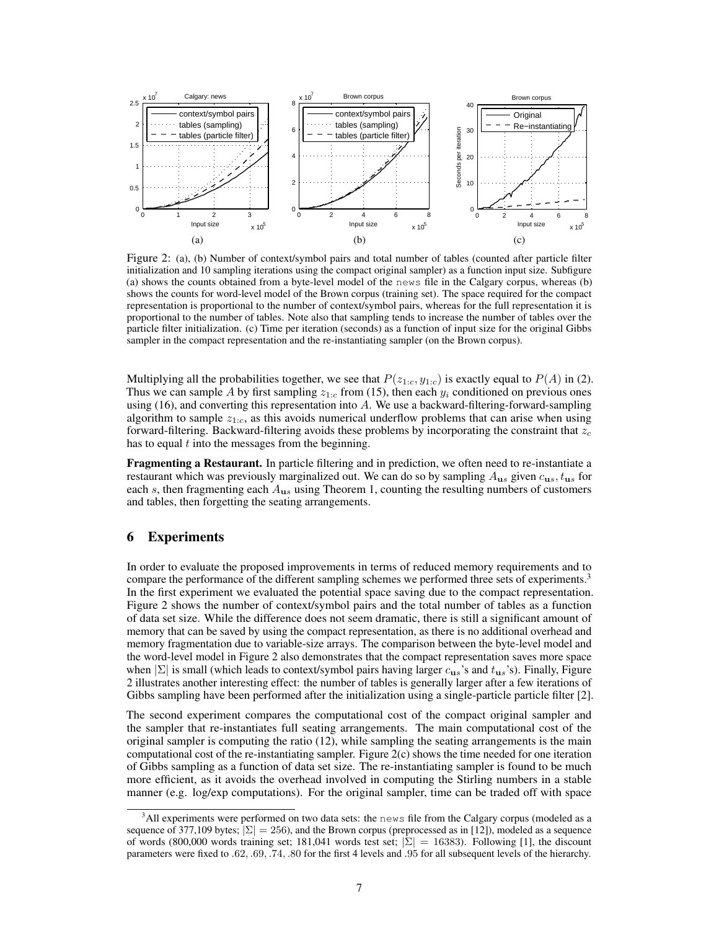

Figure 2: (a), (b) Number of context/symbol pairs and total number of tables (counted after particle filter initialization and 10 sampling iterations using the compact original sampler) as a function input size. Subfigure (a) shows the counts obtained from a byte-level model of the news file in the Calgary corpus, whereas (b) shows the counts for word-level model of the Brown corpus (training set). The space required for the compact representation is proportional to the number of context/symbol pairs, whereas for the full representation it is proportional to the number of tables. Note also that sampling tends to increase the number of tables over the particle filter initialization. (c) Time per iteration (seconds) as a function of input size for the original Gibbs sampler in the compact representation and the re-instantiating sampler (on the Brown corpus).

Multiplying all the probabilities together, we see that  $P(z_{1:c}, y_{1:c})$  is exactly equal to  $P(A)$  in (2). Thus we can sample A by first sampling  $z_{1,c}$  from (15), then each  $y_i$  conditioned on previous ones using (16), and converting this representation into A. We use a backward-filtering-forward-sampling algorithm to sample  $z_{1,c}$ , as this avoids numerical underflow problems that can arise when using forward-filtering. Backward-filtering avoids these problems by incorporating the constraint that  $z_c$ has to equal  $t$  into the messages from the beginning.

Fragmenting a Restaurant. In particle filtering and in prediction, we often need to re-instantiate a restaurant which was previously marginalized out. We can do so by sampling  $A_{us}$  given  $c_{us}$ ,  $t_{us}$  for each s, then fragmenting each  $A_{us}$  using Theorem 1, counting the resulting numbers of customers and tables, then forgetting the seating arrangements.

# 6 Experiments

In order to evaluate the proposed improvements in terms of reduced memory requirements and to compare the performance of the different sampling schemes we performed three sets of experiments.<sup>3</sup> In the first experiment we evaluated the potential space saving due to the compact representation. Figure 2 shows the number of context/symbol pairs and the total number of tables as a function of data set size. While the difference does not seem dramatic, there is still a significant amount of memory that can be saved by using the compact representation, as there is no additional overhead and memory fragmentation due to variable-size arrays. The comparison between the byte-level model and the word-level model in Figure 2 also demonstrates that the compact representation saves more space when  $|\Sigma|$  is small (which leads to context/symbol pairs having larger  $c_{us}$ 's and  $t_{us}$ 's). Finally, Figure 2 illustrates another interesting effect: the number of tables is generally larger after a few iterations of Gibbs sampling have been performed after the initialization using a single-particle particle filter [2].

The second experiment compares the computational cost of the compact original sampler and the sampler that re-instantiates full seating arrangements. The main computational cost of the original sampler is computing the ratio (12), while sampling the seating arrangements is the main computational cost of the re-instantiating sampler. Figure 2(c) shows the time needed for one iteration of Gibbs sampling as a function of data set size. The re-instantiating sampler is found to be much more efficient, as it avoids the overhead involved in computing the Stirling numbers in a stable manner (e.g. log/exp computations). For the original sampler, time can be traded off with space

 $3$ All experiments were performed on two data sets: the news file from the Calgary corpus (modeled as a sequence of 377,109 bytes;  $|\Sigma| = 256$ , and the Brown corpus (preprocessed as in [12]), modeled as a sequence of words (800,000 words training set; 181,041 words test set;  $|\Sigma| = 16383$ ). Following [1], the discount parameters were fixed to .62, .69, .74, .80 for the first 4 levels and .95 for all subsequent levels of the hierarchy.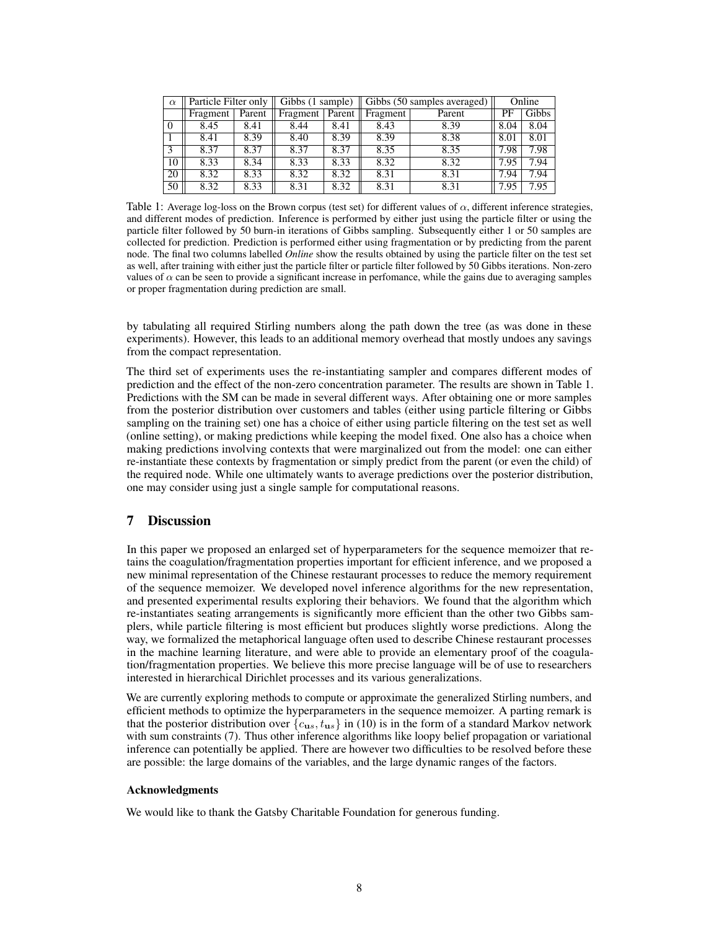| $\alpha$ | Particle Filter only |        | Gibbs (1 sample) |        | Gibbs (50 samples averaged) |        | Online |       |
|----------|----------------------|--------|------------------|--------|-----------------------------|--------|--------|-------|
|          | Fragment             | Parent | Fragment         | Parent | Fragment                    | Parent | PF     | Gibbs |
| $\Omega$ | 8.45                 | 8.41   | 8.44             | 8.41   | 8.43                        | 8.39   | 8.04   | 8.04  |
|          | 8.41                 | 8.39   | 8.40             | 8.39   | 8.39                        | 8.38   | 8.01   | 8.01  |
| 3        | 8.37                 | 8.37   | 8.37             | 8.37   | 8.35                        | 8.35   | 7.98   | 7.98  |
| 10       | 8.33                 | 8.34   | 8.33             | 8.33   | 8.32                        | 8.32   | 7.95   | 7.94  |
| 20       | 8.32                 | 8.33   | 8.32             | 8.32   | 8.31                        | 8.31   | 7.94   | 7.94  |
| 50       | 8.32                 | 8.33   | 8.31             | 8.32   | 8.31                        | 8.31   | 7.95   | 7.95  |

Table 1: Average log-loss on the Brown corpus (test set) for different values of  $\alpha$ , different inference strategies, and different modes of prediction. Inference is performed by either just using the particle filter or using the particle filter followed by 50 burn-in iterations of Gibbs sampling. Subsequently either 1 or 50 samples are collected for prediction. Prediction is performed either using fragmentation or by predicting from the parent node. The final two columns labelled *Online* show the results obtained by using the particle filter on the test set as well, after training with either just the particle filter or particle filter followed by 50 Gibbs iterations. Non-zero values of  $\alpha$  can be seen to provide a significant increase in perfomance, while the gains due to averaging samples or proper fragmentation during prediction are small.

by tabulating all required Stirling numbers along the path down the tree (as was done in these experiments). However, this leads to an additional memory overhead that mostly undoes any savings from the compact representation.

The third set of experiments uses the re-instantiating sampler and compares different modes of prediction and the effect of the non-zero concentration parameter. The results are shown in Table 1. Predictions with the SM can be made in several different ways. After obtaining one or more samples from the posterior distribution over customers and tables (either using particle filtering or Gibbs sampling on the training set) one has a choice of either using particle filtering on the test set as well (online setting), or making predictions while keeping the model fixed. One also has a choice when making predictions involving contexts that were marginalized out from the model: one can either re-instantiate these contexts by fragmentation or simply predict from the parent (or even the child) of the required node. While one ultimately wants to average predictions over the posterior distribution, one may consider using just a single sample for computational reasons.

# 7 Discussion

In this paper we proposed an enlarged set of hyperparameters for the sequence memoizer that retains the coagulation/fragmentation properties important for efficient inference, and we proposed a new minimal representation of the Chinese restaurant processes to reduce the memory requirement of the sequence memoizer. We developed novel inference algorithms for the new representation, and presented experimental results exploring their behaviors. We found that the algorithm which re-instantiates seating arrangements is significantly more efficient than the other two Gibbs samplers, while particle filtering is most efficient but produces slightly worse predictions. Along the way, we formalized the metaphorical language often used to describe Chinese restaurant processes in the machine learning literature, and were able to provide an elementary proof of the coagulation/fragmentation properties. We believe this more precise language will be of use to researchers interested in hierarchical Dirichlet processes and its various generalizations.

We are currently exploring methods to compute or approximate the generalized Stirling numbers, and efficient methods to optimize the hyperparameters in the sequence memoizer. A parting remark is that the posterior distribution over  ${c_{us}, t_{us}}$  in (10) is in the form of a standard Markov network with sum constraints (7). Thus other inference algorithms like loopy belief propagation or variational inference can potentially be applied. There are however two difficulties to be resolved before these are possible: the large domains of the variables, and the large dynamic ranges of the factors.

## Acknowledgments

We would like to thank the Gatsby Charitable Foundation for generous funding.